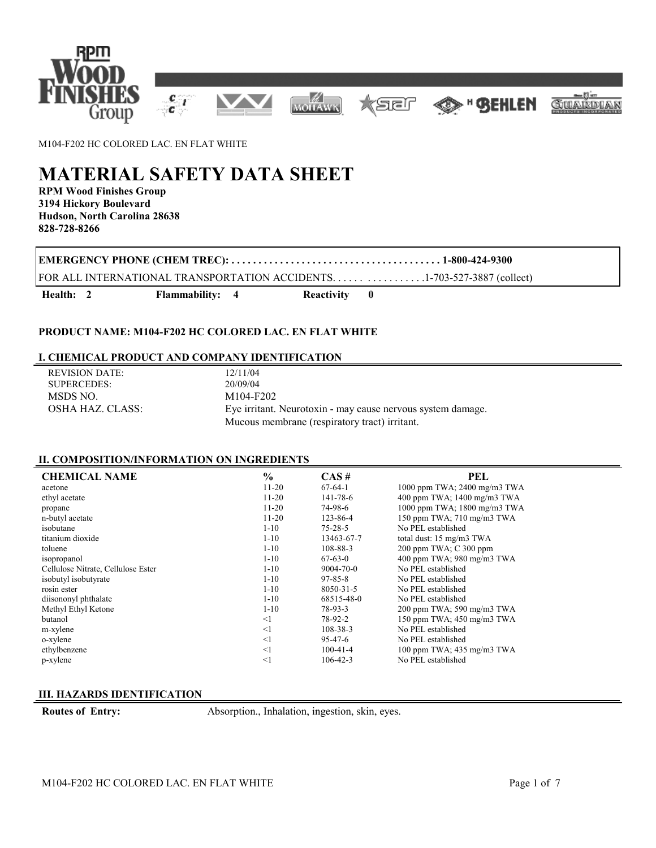

M104-F202 HC COLORED LAC. EN FLAT WHITE

# **MATERIAL SAFETY DATA SHEET**

**RPM Wood Finishes Group 3194 Hickory Boulevard Hudson, North Carolina 28638 828-728-8266**

**EMERGENCY PHONE (CHEM TREC): . . . . . . . . . . . . . . . . . . . . . . . . . . . . . . . . . . . . . . . 1-800-424-9300**

FOR ALL INTERNATIONAL TRANSPORTATION ACCIDENTS. . . . . . . . . . . . . . . . .1-703-527-3887 (collect)

Health: 2 Flammability: 4 Reactivity 0

### **PRODUCT NAME: M104-F202 HC COLORED LAC. EN FLAT WHITE**

### **I. CHEMICAL PRODUCT AND COMPANY IDENTIFICATION**

| REVISION DATE:     | 12/11/04                                                    |
|--------------------|-------------------------------------------------------------|
| <b>SUPERCEDES:</b> | 20/09/04                                                    |
| MSDS NO.           | M104-F202                                                   |
| OSHA HAZ. CLASS:   | Eye irritant. Neurotoxin - may cause nervous system damage. |
|                    | Mucous membrane (respiratory tract) irritant.               |

## **II. COMPOSITION/INFORMATION ON INGREDIENTS**

| <b>CHEMICAL NAME</b>               | $\frac{6}{6}$ | CAS#            | PEL                          |
|------------------------------------|---------------|-----------------|------------------------------|
| acetone                            | $11-20$       | $67-64-1$       | 1000 ppm TWA; 2400 mg/m3 TWA |
| ethyl acetate                      | $11-20$       | 141-78-6        | 400 ppm TWA; 1400 mg/m3 TWA  |
| propane                            | $11-20$       | 74-98-6         | 1000 ppm TWA; 1800 mg/m3 TWA |
| n-butyl acetate                    | $11-20$       | 123-86-4        | 150 ppm TWA; 710 mg/m3 TWA   |
| isobutane                          | $1 - 10$      | $75 - 28 - 5$   | No PEL established           |
| titanium dioxide                   | $1-10$        | 13463-67-7      | total dust: 15 mg/m3 TWA     |
| toluene                            | $1 - 10$      | 108-88-3        | 200 ppm TWA; C 300 ppm       |
| isopropanol                        | $1-10$        | $67-63-0$       | 400 ppm TWA; 980 mg/m3 TWA   |
| Cellulose Nitrate, Cellulose Ester | $1 - 10$      | $9004 - 70 - 0$ | No PEL established           |
| isobutyl isobutyrate               | $1 - 10$      | $97 - 85 - 8$   | No PEL established           |
| rosin ester                        | $1-10$        | 8050-31-5       | No PEL established           |
| diisononyl phthalate               | $1 - 10$      | 68515-48-0      | No PEL established           |
| Methyl Ethyl Ketone                | $1-10$        | 78-93-3         | 200 ppm TWA; 590 mg/m3 TWA   |
| butanol                            | $\leq$ 1      | 78-92-2         | 150 ppm TWA; 450 mg/m3 TWA   |
| m-xylene                           | $\leq$ 1      | $108 - 38 - 3$  | No PEL established           |
| o-xylene                           | $\leq$ 1      | 95-47-6         | No PEL established           |
| ethylbenzene                       | $\leq$ 1      | $100-41-4$      | 100 ppm TWA; 435 mg/m3 TWA   |
| p-xylene                           | $<$ 1         | $106 - 42 - 3$  | No PEL established           |

#### **III. HAZARDS IDENTIFICATION**

**Routes of Entry:** Absorption., Inhalation, ingestion, skin, eyes.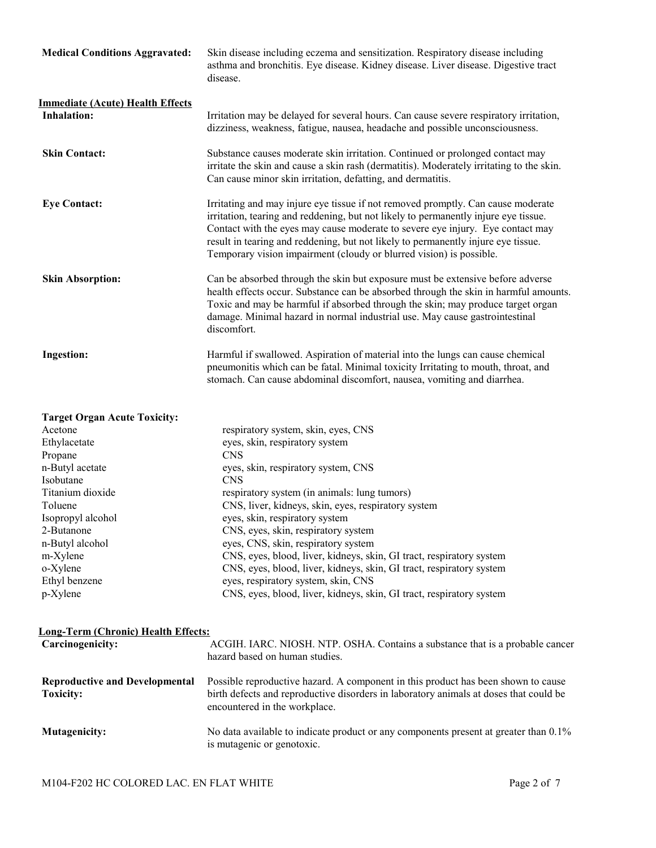| <b>Medical Conditions Aggravated:</b>                         | Skin disease including eczema and sensitization. Respiratory disease including<br>asthma and bronchitis. Eye disease. Kidney disease. Liver disease. Digestive tract<br>disease.                                                                                                                                                                                                                                      |  |
|---------------------------------------------------------------|-----------------------------------------------------------------------------------------------------------------------------------------------------------------------------------------------------------------------------------------------------------------------------------------------------------------------------------------------------------------------------------------------------------------------|--|
| <b>Immediate (Acute) Health Effects</b><br><b>Inhalation:</b> | Irritation may be delayed for several hours. Can cause severe respiratory irritation,<br>dizziness, weakness, fatigue, nausea, headache and possible unconsciousness.                                                                                                                                                                                                                                                 |  |
| <b>Skin Contact:</b>                                          | Substance causes moderate skin irritation. Continued or prolonged contact may<br>irritate the skin and cause a skin rash (dermatitis). Moderately irritating to the skin.<br>Can cause minor skin irritation, defatting, and dermatitis.                                                                                                                                                                              |  |
| <b>Eye Contact:</b>                                           | Irritating and may injure eye tissue if not removed promptly. Can cause moderate<br>irritation, tearing and reddening, but not likely to permanently injure eye tissue.<br>Contact with the eyes may cause moderate to severe eye injury. Eye contact may<br>result in tearing and reddening, but not likely to permanently injure eye tissue.<br>Temporary vision impairment (cloudy or blurred vision) is possible. |  |
| <b>Skin Absorption:</b>                                       | Can be absorbed through the skin but exposure must be extensive before adverse<br>health effects occur. Substance can be absorbed through the skin in harmful amounts.<br>Toxic and may be harmful if absorbed through the skin; may produce target organ<br>damage. Minimal hazard in normal industrial use. May cause gastrointestinal<br>discomfort.                                                               |  |
| <b>Ingestion:</b>                                             | Harmful if swallowed. Aspiration of material into the lungs can cause chemical<br>pneumonitis which can be fatal. Minimal toxicity Irritating to mouth, throat, and<br>stomach. Can cause abdominal discomfort, nausea, vomiting and diarrhea.                                                                                                                                                                        |  |
| <b>Target Organ Acute Toxicity:</b>                           |                                                                                                                                                                                                                                                                                                                                                                                                                       |  |

| Acetone           | respiratory system, skin, eyes, CNS                                  |
|-------------------|----------------------------------------------------------------------|
| Ethylacetate      | eyes, skin, respiratory system                                       |
| Propane           | <b>CNS</b>                                                           |
| n-Butyl acetate   | eyes, skin, respiratory system, CNS                                  |
| Isobutane         | <b>CNS</b>                                                           |
| Titanium dioxide  | respiratory system (in animals: lung tumors)                         |
| Toluene           | CNS, liver, kidneys, skin, eyes, respiratory system                  |
| Isopropyl alcohol | eyes, skin, respiratory system                                       |
| 2-Butanone        | CNS, eyes, skin, respiratory system                                  |
| n-Butyl alcohol   | eyes, CNS, skin, respiratory system                                  |
| m-Xylene          | CNS, eyes, blood, liver, kidneys, skin, GI tract, respiratory system |
| o-Xylene          | CNS, eyes, blood, liver, kidneys, skin, GI tract, respiratory system |
| Ethyl benzene     | eyes, respiratory system, skin, CNS                                  |
| p-Xylene          | CNS, eyes, blood, liver, kidneys, skin, GI tract, respiratory system |
|                   |                                                                      |

## **Long-Term (Chronic) Health Effects:**

| Carcinogenicity:                                          | ACGIH. IARC. NIOSH. NTP. OSHA. Contains a substance that is a probable cancer<br>hazard based on human studies.                                                                                             |
|-----------------------------------------------------------|-------------------------------------------------------------------------------------------------------------------------------------------------------------------------------------------------------------|
| <b>Reproductive and Developmental</b><br><b>Toxicity:</b> | Possible reproductive hazard. A component in this product has been shown to cause<br>birth defects and reproductive disorders in laboratory animals at doses that could be<br>encountered in the workplace. |
| <b>Mutagenicity:</b>                                      | No data available to indicate product or any components present at greater than 0.1%<br>is mutagenic or genotoxic.                                                                                          |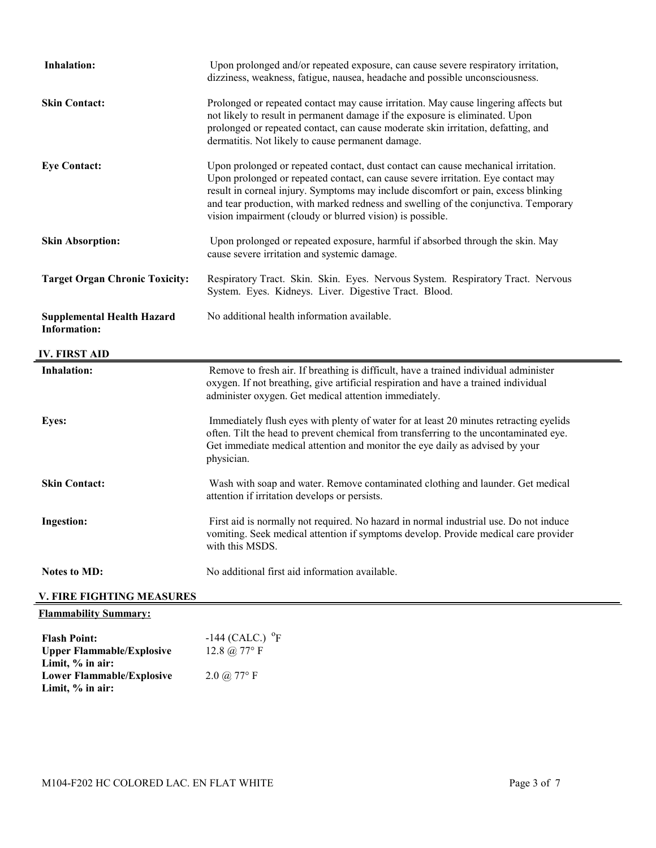| <b>Inhalation:</b>                                       | Upon prolonged and/or repeated exposure, can cause severe respiratory irritation,<br>dizziness, weakness, fatigue, nausea, headache and possible unconsciousness.                                                                                                                                                                                                                                               |  |  |
|----------------------------------------------------------|-----------------------------------------------------------------------------------------------------------------------------------------------------------------------------------------------------------------------------------------------------------------------------------------------------------------------------------------------------------------------------------------------------------------|--|--|
| <b>Skin Contact:</b>                                     | Prolonged or repeated contact may cause irritation. May cause lingering affects but<br>not likely to result in permanent damage if the exposure is eliminated. Upon<br>prolonged or repeated contact, can cause moderate skin irritation, defatting, and<br>dermatitis. Not likely to cause permanent damage.                                                                                                   |  |  |
| <b>Eye Contact:</b>                                      | Upon prolonged or repeated contact, dust contact can cause mechanical irritation.<br>Upon prolonged or repeated contact, can cause severe irritation. Eye contact may<br>result in corneal injury. Symptoms may include discomfort or pain, excess blinking<br>and tear production, with marked redness and swelling of the conjunctiva. Temporary<br>vision impairment (cloudy or blurred vision) is possible. |  |  |
| <b>Skin Absorption:</b>                                  | Upon prolonged or repeated exposure, harmful if absorbed through the skin. May<br>cause severe irritation and systemic damage.                                                                                                                                                                                                                                                                                  |  |  |
| <b>Target Organ Chronic Toxicity:</b>                    | Respiratory Tract. Skin. Skin. Eyes. Nervous System. Respiratory Tract. Nervous<br>System. Eyes. Kidneys. Liver. Digestive Tract. Blood.                                                                                                                                                                                                                                                                        |  |  |
| <b>Supplemental Health Hazard</b><br><b>Information:</b> | No additional health information available.                                                                                                                                                                                                                                                                                                                                                                     |  |  |
| <b>IV. FIRST AID</b>                                     |                                                                                                                                                                                                                                                                                                                                                                                                                 |  |  |
| <b>Inhalation:</b>                                       | Remove to fresh air. If breathing is difficult, have a trained individual administer<br>oxygen. If not breathing, give artificial respiration and have a trained individual<br>administer oxygen. Get medical attention immediately.                                                                                                                                                                            |  |  |
| Eyes:                                                    | Immediately flush eyes with plenty of water for at least 20 minutes retracting eyelids<br>often. Tilt the head to prevent chemical from transferring to the uncontaminated eye.<br>Get immediate medical attention and monitor the eye daily as advised by your<br>physician.                                                                                                                                   |  |  |
| <b>Skin Contact:</b>                                     | Wash with soap and water. Remove contaminated clothing and launder. Get medical<br>attention if irritation develops or persists.                                                                                                                                                                                                                                                                                |  |  |
| <b>Ingestion:</b>                                        | First aid is normally not required. No hazard in normal industrial use. Do not induce<br>vomiting. Seek medical attention if symptoms develop. Provide medical care provider<br>with this MSDS.                                                                                                                                                                                                                 |  |  |
| <b>Notes to MD:</b>                                      | No additional first aid information available.                                                                                                                                                                                                                                                                                                                                                                  |  |  |
|                                                          |                                                                                                                                                                                                                                                                                                                                                                                                                 |  |  |
| <b>V. FIRE FIGHTING MEASURES</b>                         |                                                                                                                                                                                                                                                                                                                                                                                                                 |  |  |
| <b>Flammability Summary:</b>                             |                                                                                                                                                                                                                                                                                                                                                                                                                 |  |  |

**Lower Flammable/Explosive**  2.0 @ 77° F **Limit, % in air:**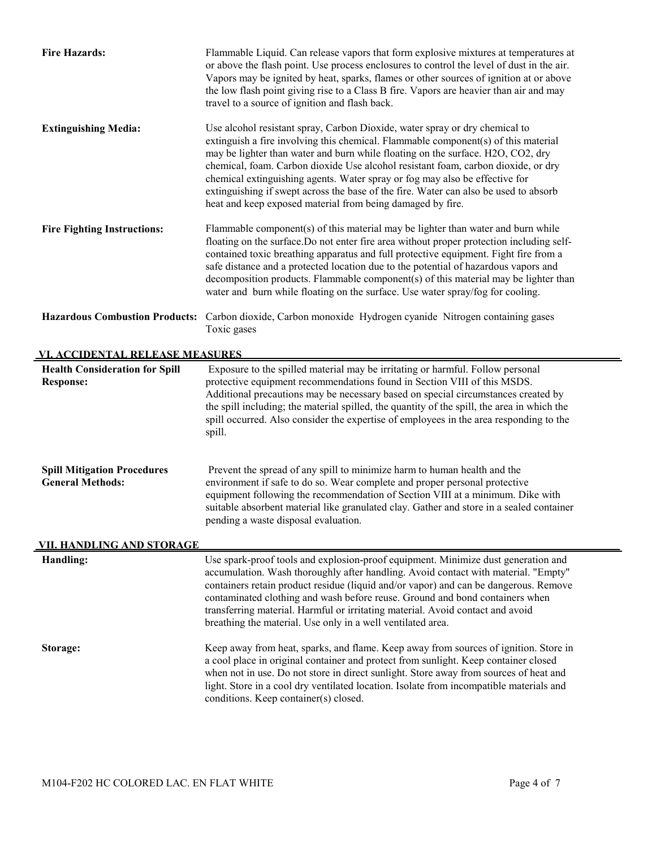| <b>Fire Hazards:</b>                                                                              | Flammable Liquid. Can release vapors that form explosive mixtures at temperatures at<br>or above the flash point. Use process enclosures to control the level of dust in the air.<br>Vapors may be ignited by heat, sparks, flames or other sources of ignition at or above<br>the low flash point giving rise to a Class B fire. Vapors are heavier than air and may<br>travel to a source of ignition and flash back.                                                                                                                                                        |  |  |
|---------------------------------------------------------------------------------------------------|--------------------------------------------------------------------------------------------------------------------------------------------------------------------------------------------------------------------------------------------------------------------------------------------------------------------------------------------------------------------------------------------------------------------------------------------------------------------------------------------------------------------------------------------------------------------------------|--|--|
| <b>Extinguishing Media:</b>                                                                       | Use alcohol resistant spray, Carbon Dioxide, water spray or dry chemical to<br>extinguish a fire involving this chemical. Flammable component(s) of this material<br>may be lighter than water and burn while floating on the surface. H2O, CO2, dry<br>chemical, foam. Carbon dioxide Use alcohol resistant foam, carbon dioxide, or dry<br>chemical extinguishing agents. Water spray or fog may also be effective for<br>extinguishing if swept across the base of the fire. Water can also be used to absorb<br>heat and keep exposed material from being damaged by fire. |  |  |
| <b>Fire Fighting Instructions:</b>                                                                | Flammable component(s) of this material may be lighter than water and burn while<br>floating on the surface. Do not enter fire area without proper protection including self-<br>contained toxic breathing apparatus and full protective equipment. Fight fire from a<br>safe distance and a protected location due to the potential of hazardous vapors and<br>decomposition products. Flammable component(s) of this material may be lighter than<br>water and burn while floating on the surface. Use water spray/fog for cooling.                                          |  |  |
|                                                                                                   | Hazardous Combustion Products: Carbon dioxide, Carbon monoxide Hydrogen cyanide Nitrogen containing gases<br>Toxic gases                                                                                                                                                                                                                                                                                                                                                                                                                                                       |  |  |
| VI. ACCIDENTAL RELEASE MEASURES                                                                   |                                                                                                                                                                                                                                                                                                                                                                                                                                                                                                                                                                                |  |  |
| <b>Health Consideration for Spill</b><br><b>Response:</b>                                         | Exposure to the spilled material may be irritating or harmful. Follow personal<br>protective equipment recommendations found in Section VIII of this MSDS.<br>Additional precautions may be necessary based on special circumstances created by<br>the spill including; the material spilled, the quantity of the spill, the area in which the<br>spill occurred. Also consider the expertise of employees in the area responding to the<br>spill.                                                                                                                             |  |  |
| <b>Spill Mitigation Procedures</b><br><b>General Methods:</b><br><u>VII. HANDLING AND STORAGE</u> | Prevent the spread of any spill to minimize harm to human health and the<br>environment if safe to do so. Wear complete and proper personal protective<br>equipment following the recommendation of Section VIII at a minimum. Dike with<br>suitable absorbent material like granulated clay. Gather and store in a sealed container<br>pending a waste disposal evaluation.                                                                                                                                                                                                   |  |  |
| Handling:                                                                                         | Use spark-proof tools and explosion-proof equipment. Minimize dust generation and                                                                                                                                                                                                                                                                                                                                                                                                                                                                                              |  |  |
|                                                                                                   | accumulation. Wash thoroughly after handling. Avoid contact with material. "Empty"<br>containers retain product residue (liquid and/or vapor) and can be dangerous. Remove<br>contaminated clothing and wash before reuse. Ground and bond containers when<br>transferring material. Harmful or irritating material. Avoid contact and avoid<br>breathing the material. Use only in a well ventilated area.                                                                                                                                                                    |  |  |
| Storage:                                                                                          | Keep away from heat, sparks, and flame. Keep away from sources of ignition. Store in<br>a cool place in original container and protect from sunlight. Keep container closed<br>when not in use. Do not store in direct sunlight. Store away from sources of heat and<br>light. Store in a cool dry ventilated location. Isolate from incompatible materials and<br>conditions. Keep container(s) closed.                                                                                                                                                                       |  |  |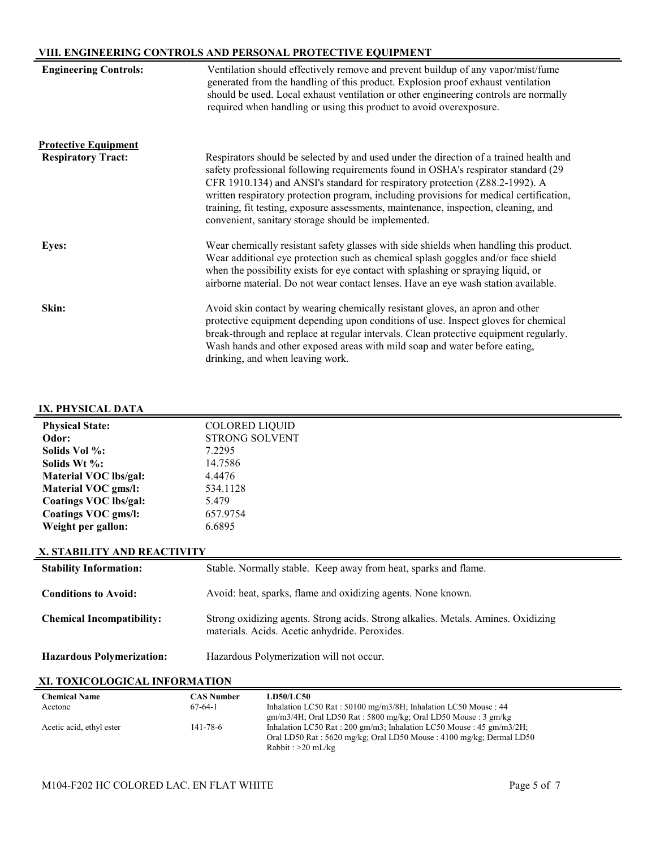# **VIII. ENGINEERING CONTROLS AND PERSONAL PROTECTIVE EQUIPMENT**

| <b>Engineering Controls:</b>                             | Ventilation should effectively remove and prevent buildup of any vapor/mist/fume<br>generated from the handling of this product. Explosion proof exhaust ventilation<br>should be used. Local exhaust ventilation or other engineering controls are normally<br>required when handling or using this product to avoid overexposure.                                                                                                                                                                    |
|----------------------------------------------------------|--------------------------------------------------------------------------------------------------------------------------------------------------------------------------------------------------------------------------------------------------------------------------------------------------------------------------------------------------------------------------------------------------------------------------------------------------------------------------------------------------------|
| <b>Protective Equipment</b><br><b>Respiratory Tract:</b> | Respirators should be selected by and used under the direction of a trained health and<br>safety professional following requirements found in OSHA's respirator standard (29)<br>CFR 1910.134) and ANSI's standard for respiratory protection (Z88.2-1992). A<br>written respiratory protection program, including provisions for medical certification,<br>training, fit testing, exposure assessments, maintenance, inspection, cleaning, and<br>convenient, sanitary storage should be implemented. |
| <b>Eyes:</b>                                             | Wear chemically resistant safety glasses with side shields when handling this product.<br>Wear additional eye protection such as chemical splash goggles and/or face shield<br>when the possibility exists for eye contact with splashing or spraying liquid, or<br>airborne material. Do not wear contact lenses. Have an eye wash station available.                                                                                                                                                 |
| Skin:                                                    | Avoid skin contact by wearing chemically resistant gloves, an apron and other<br>protective equipment depending upon conditions of use. Inspect gloves for chemical<br>break-through and replace at regular intervals. Clean protective equipment regularly.<br>Wash hands and other exposed areas with mild soap and water before eating,<br>drinking, and when leaving work.                                                                                                                         |

## **IX. PHYSICAL DATA**

| <b>Physical State:</b> | <b>COLORED LIQUID</b> |  |  |
|------------------------|-----------------------|--|--|
| Odor:                  | <b>STRONG SOLVENT</b> |  |  |
| Solids Vol %:          | 7.2295                |  |  |
| Solids Wt %:           | 14.7586               |  |  |
| Material VOC lbs/gal:  | 4.4476                |  |  |
| Material VOC gms/l:    | 534.1128              |  |  |
| Coatings VOC lbs/gal:  | 5.479                 |  |  |
| Coatings VOC gms/l:    | 657.9754              |  |  |
| Weight per gallon:     | 6.6895                |  |  |
|                        |                       |  |  |

#### **X. STABILITY AND REACTIVITY**

| <b>Stability Information:</b>    | Stable. Normally stable. Keep away from heat, sparks and flame.                                                                     |
|----------------------------------|-------------------------------------------------------------------------------------------------------------------------------------|
| <b>Conditions to Avoid:</b>      | Avoid: heat, sparks, flame and oxidizing agents. None known.                                                                        |
| <b>Chemical Incompatibility:</b> | Strong oxidizing agents. Strong acids. Strong alkalies. Metals. Amines. Oxidizing<br>materials. Acids. Acetic anhydride. Peroxides. |
| <b>Hazardous Polymerization:</b> | Hazardous Polymerization will not occur.                                                                                            |

# **XI. TOXICOLOGICAL INFORMATION**

| <b>Chemical Name</b>     | <b>CAS Number</b> | <b>LD50/LC50</b>                                                      |
|--------------------------|-------------------|-----------------------------------------------------------------------|
| Acetone                  | $67-64-1$         | Inhalation LC50 Rat: 50100 mg/m3/8H; Inhalation LC50 Mouse: 44        |
|                          |                   | $gm/m3/4H$ ; Oral LD50 Rat : 5800 mg/kg; Oral LD50 Mouse : 3 gm/kg    |
| Acetic acid, ethyl ester | 141-78-6          | Inhalation LC50 Rat : 200 gm/m3; Inhalation LC50 Mouse : 45 gm/m3/2H; |
|                          |                   | Oral LD50 Rat: 5620 mg/kg; Oral LD50 Mouse: 4100 mg/kg; Dermal LD50   |
|                          |                   | Rabbit : $>20$ mL/kg                                                  |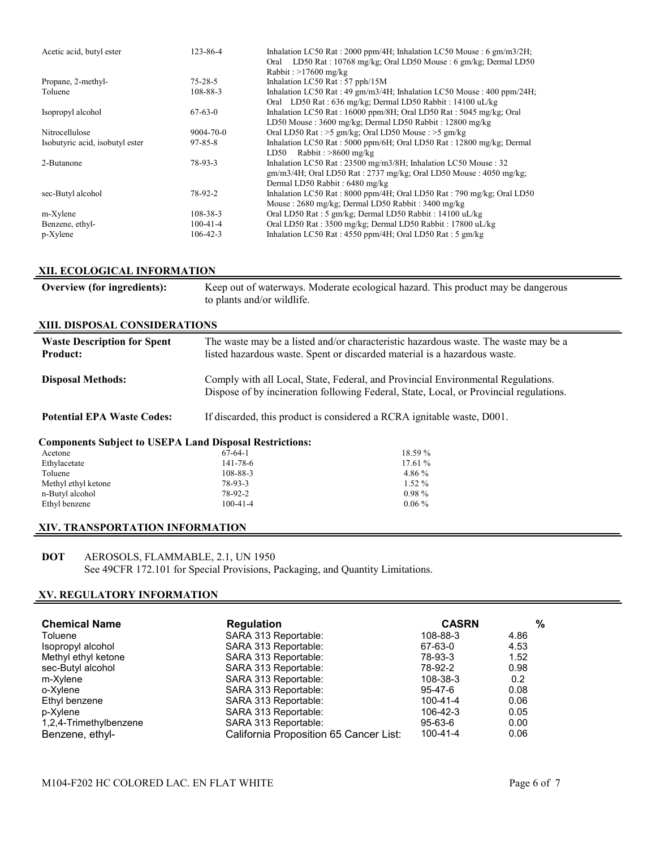| Acetic acid, butyl ester        | 123-86-4        | Inhalation LC50 Rat: 2000 ppm/4H; Inhalation LC50 Mouse: 6 gm/m3/2H;<br>Oral LD50 Rat: 10768 mg/kg; Oral LD50 Mouse: 6 gm/kg; Dermal LD50<br>Rabbit: $>17600$ mg/kg               |
|---------------------------------|-----------------|-----------------------------------------------------------------------------------------------------------------------------------------------------------------------------------|
| Propane, 2-methyl-              | $75 - 28 - 5$   | Inhalation LC50 Rat: 57 pph/15M                                                                                                                                                   |
| Toluene                         | 108-88-3        | Inhalation LC50 Rat: 49 gm/m3/4H; Inhalation LC50 Mouse: 400 ppm/24H;                                                                                                             |
|                                 |                 | Oral LD50 Rat: 636 mg/kg; Dermal LD50 Rabbit: 14100 uL/kg                                                                                                                         |
| Isopropyl alcohol               | $67-63-0$       | Inhalation LC50 Rat: 16000 ppm/8H; Oral LD50 Rat: 5045 mg/kg; Oral                                                                                                                |
|                                 |                 | LD50 Mouse: 3600 mg/kg; Dermal LD50 Rabbit: 12800 mg/kg                                                                                                                           |
| Nitrocellulose                  | $9004 - 70 - 0$ | Oral LD50 Rat : >5 gm/kg; Oral LD50 Mouse : >5 gm/kg                                                                                                                              |
| Isobutyric acid, isobutyl ester | $97 - 85 - 8$   | Inhalation LC50 Rat: $5000$ ppm/6H; Oral LD50 Rat: $12800$ mg/kg; Dermal<br>Rabbit: $>8600$ mg/kg<br>LD50                                                                         |
| 2-Butanone                      | 78-93-3         | Inhalation LC50 Rat: 23500 mg/m3/8H; Inhalation LC50 Mouse: 32<br>$\text{gm/m3/4H}$ ; Oral LD50 Rat : 2737 mg/kg; Oral LD50 Mouse : 4050 mg/kg;<br>Dermal LD50 Rabbit: 6480 mg/kg |
| sec-Butyl alcohol               | 78-92-2         | Inhalation LC50 Rat: $8000$ ppm/4H; Oral LD50 Rat: 790 mg/kg; Oral LD50<br>Mouse: 2680 mg/kg; Dermal LD50 Rabbit: 3400 mg/kg                                                      |
| m-Xylene                        | $108 - 38 - 3$  | Oral LD50 Rat: 5 gm/kg; Dermal LD50 Rabbit: 14100 uL/kg                                                                                                                           |
| Benzene, ethyl-                 | $100 - 41 - 4$  | Oral LD50 Rat: 3500 mg/kg; Dermal LD50 Rabbit: 17800 uL/kg                                                                                                                        |
| p-Xylene                        | $106 - 42 - 3$  | Inhalation LC50 Rat: 4550 ppm/4H; Oral LD50 Rat: 5 gm/kg                                                                                                                          |

## **XII. ECOLOGICAL INFORMATION**

| Overview (for ingredients):                                    | to plants and/or wildlife.                                                                                                                                                 | Keep out of waterways. Moderate ecological hazard. This product may be dangerous |  |  |  |  |
|----------------------------------------------------------------|----------------------------------------------------------------------------------------------------------------------------------------------------------------------------|----------------------------------------------------------------------------------|--|--|--|--|
| XIII. DISPOSAL CONSIDERATIONS                                  |                                                                                                                                                                            |                                                                                  |  |  |  |  |
| <b>Waste Description for Spent</b><br><b>Product:</b>          | The waste may be a listed and/or characteristic hazardous waste. The waste may be a<br>listed hazardous waste. Spent or discarded material is a hazardous waste.           |                                                                                  |  |  |  |  |
| <b>Disposal Methods:</b>                                       | Comply with all Local, State, Federal, and Provincial Environmental Regulations.<br>Dispose of by incineration following Federal, State, Local, or Provincial regulations. |                                                                                  |  |  |  |  |
| <b>Potential EPA Waste Codes:</b>                              | If discarded, this product is considered a RCRA ignitable waste, D001.                                                                                                     |                                                                                  |  |  |  |  |
| <b>Components Subject to USEPA Land Disposal Restrictions:</b> |                                                                                                                                                                            |                                                                                  |  |  |  |  |
| Acetone                                                        | $67-64-1$                                                                                                                                                                  | 18.59 %                                                                          |  |  |  |  |
| Ethylacetate                                                   | 141-78-6                                                                                                                                                                   | 17.61%                                                                           |  |  |  |  |
| Toluene                                                        | 108-88-3                                                                                                                                                                   | 4.86 %                                                                           |  |  |  |  |
| Methyl ethyl ketone                                            | $78-93-3$                                                                                                                                                                  | $1.52\%$                                                                         |  |  |  |  |
| n-Butyl alcohol                                                | 78-92-2                                                                                                                                                                    | $0.98\%$                                                                         |  |  |  |  |
| Ethyl benzene                                                  | $100-41-4$                                                                                                                                                                 | $0.06\%$                                                                         |  |  |  |  |

## **XIV. TRANSPORTATION INFORMATION**

## **DOT** AEROSOLS, FLAMMABLE, 2.1, UN 1950 See 49CFR 172.101 for Special Provisions, Packaging, and Quantity Limitations.

## **XV. REGULATORY INFORMATION**

| <b>Chemical Name</b>   | <b>Regulation</b>                      | <b>CASRN</b>  | %    |
|------------------------|----------------------------------------|---------------|------|
| Toluene                | SARA 313 Reportable:                   | 108-88-3      | 4.86 |
| Isopropyl alcohol      | SARA 313 Reportable:                   | 67-63-0       | 4.53 |
| Methyl ethyl ketone    | SARA 313 Reportable:                   | 78-93-3       | 1.52 |
| sec-Butyl alcohol      | SARA 313 Reportable:                   | 78-92-2       | 0.98 |
| m-Xylene               | SARA 313 Reportable:                   | 108-38-3      | 0.2  |
| o-Xylene               | SARA 313 Reportable:                   | 95-47-6       | 0.08 |
| Ethyl benzene          | SARA 313 Reportable:                   | 100-41-4      | 0.06 |
| p-Xylene               | SARA 313 Reportable:                   | 106-42-3      | 0.05 |
| 1,2,4-Trimethylbenzene | SARA 313 Reportable:                   | $95 - 63 - 6$ | 0.00 |
| Benzene, ethyl-        | California Proposition 65 Cancer List: | 100-41-4      | 0.06 |